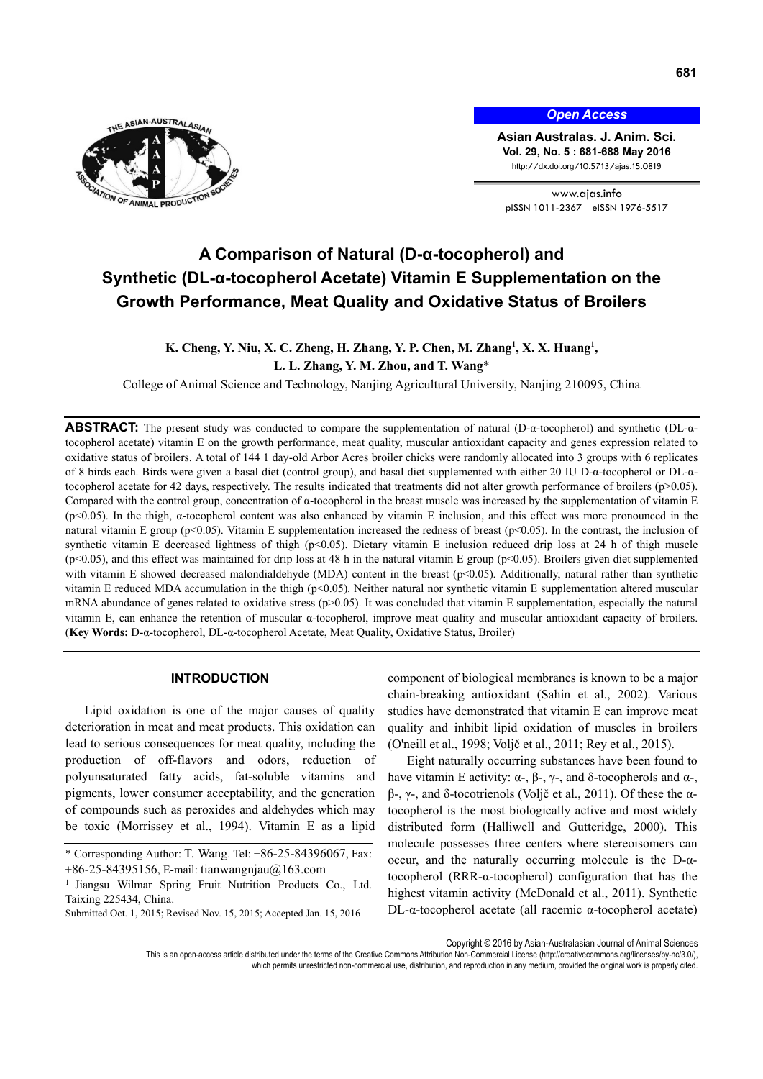

*Open Access*

**Asian Australas. J. Anim. Sci. Vol. 29, No. 5 : 681-688 May 2016**  http://dx.doi.org/10.5713/ajas.15.0819

www.ajas.info pISSN 1011-2367 eISSN 1976-5517

# **A Comparison of Natural (D-α-tocopherol) and Synthetic (DL-α-tocopherol Acetate) Vitamin E Supplementation on the Growth Performance, Meat Quality and Oxidative Status of Broilers**

# **K.** Cheng, Y. Niu, X. C. Zheng, H. Zhang, Y. P. Chen, M. Zhang<sup>1</sup>, X. X. Huang<sup>1</sup>, **L. L. Zhang, Y. M. Zhou, and T. Wang**\*

College of Animal Science and Technology, Nanjing Agricultural University, Nanjing 210095, China

**ABSTRACT:** The present study was conducted to compare the supplementation of natural (D-α-tocopherol) and synthetic (DL-αtocopherol acetate) vitamin E on the growth performance, meat quality, muscular antioxidant capacity and genes expression related to oxidative status of broilers. A total of 144 1 day-old Arbor Acres broiler chicks were randomly allocated into 3 groups with 6 replicates of 8 birds each. Birds were given a basal diet (control group), and basal diet supplemented with either 20 IU D-α-tocopherol or DL-αtocopherol acetate for 42 days, respectively. The results indicated that treatments did not alter growth performance of broilers (p>0.05). Compared with the control group, concentration of α-tocopherol in the breast muscle was increased by the supplementation of vitamin E (p<0.05). In the thigh, α-tocopherol content was also enhanced by vitamin E inclusion, and this effect was more pronounced in the natural vitamin E group (p<0.05). Vitamin E supplementation increased the redness of breast (p<0.05). In the contrast, the inclusion of synthetic vitamin E decreased lightness of thigh (p<0.05). Dietary vitamin E inclusion reduced drip loss at 24 h of thigh muscle  $(p<0.05)$ , and this effect was maintained for drip loss at 48 h in the natural vitamin E group  $(p<0.05)$ . Broilers given diet supplemented with vitamin E showed decreased malondialdehyde (MDA) content in the breast (p<0.05). Additionally, natural rather than synthetic vitamin E reduced MDA accumulation in the thigh (p<0.05). Neither natural nor synthetic vitamin E supplementation altered muscular mRNA abundance of genes related to oxidative stress ( $p$ >0.05). It was concluded that vitamin E supplementation, especially the natural vitamin E, can enhance the retention of muscular α-tocopherol, improve meat quality and muscular antioxidant capacity of broilers. (**Key Words:** D-α-tocopherol, DL-α-tocopherol Acetate, Meat Quality, Oxidative Status, Broiler)

## **INTRODUCTION**

Lipid oxidation is one of the major causes of quality deterioration in meat and meat products. This oxidation can lead to serious consequences for meat quality, including the production of off-flavors and odors, reduction of polyunsaturated fatty acids, fat-soluble vitamins and pigments, lower consumer acceptability, and the generation of compounds such as peroxides and aldehydes which may be toxic (Morrissey et al., 1994). Vitamin E as a lipid component of biological membranes is known to be a major chain-breaking antioxidant (Sahin et al., 2002). Various studies have demonstrated that vitamin E can improve meat quality and inhibit lipid oxidation of muscles in broilers (O'neill et al., 1998; Voljč et al., 2011; Rey et al., 2015).

Eight naturally occurring substances have been found to have vitamin E activity:  $\alpha$ -,  $\beta$ -,  $\gamma$ -, and δ-tocopherols and  $\alpha$ -, β-, γ-, and δ-tocotrienols (Voljč et al., 2011). Of these the αtocopherol is the most biologically active and most widely distributed form (Halliwell and Gutteridge, 2000). This molecule possesses three centers where stereoisomers can occur, and the naturally occurring molecule is the D-αtocopherol (RRR-α-tocopherol) configuration that has the highest vitamin activity (McDonald et al., 2011). Synthetic DL-α-tocopherol acetate (all racemic α-tocopherol acetate)

Copyright © 2016 by Asian-Australasian Journal of Animal Sciences

<sup>\*</sup> Corresponding Author: T. Wang. Tel: +86-25-84396067, Fax: +86-25-84395156, E-mail: tianwangnjau@163.com

<sup>&</sup>lt;sup>1</sup> Jiangsu Wilmar Spring Fruit Nutrition Products Co., Ltd. Taixing 225434, China.

Submitted Oct. 1, 2015; Revised Nov. 15, 2015; Accepted Jan. 15, 2016

This is an open-access article distributed under the terms of the Creative Commons Attribution Non-Commercial License (http://creativecommons.org/licenses/by-nc/3.0/), which permits unrestricted non-commercial use, distribution, and reproduction in any medium, provided the original work is properly cited.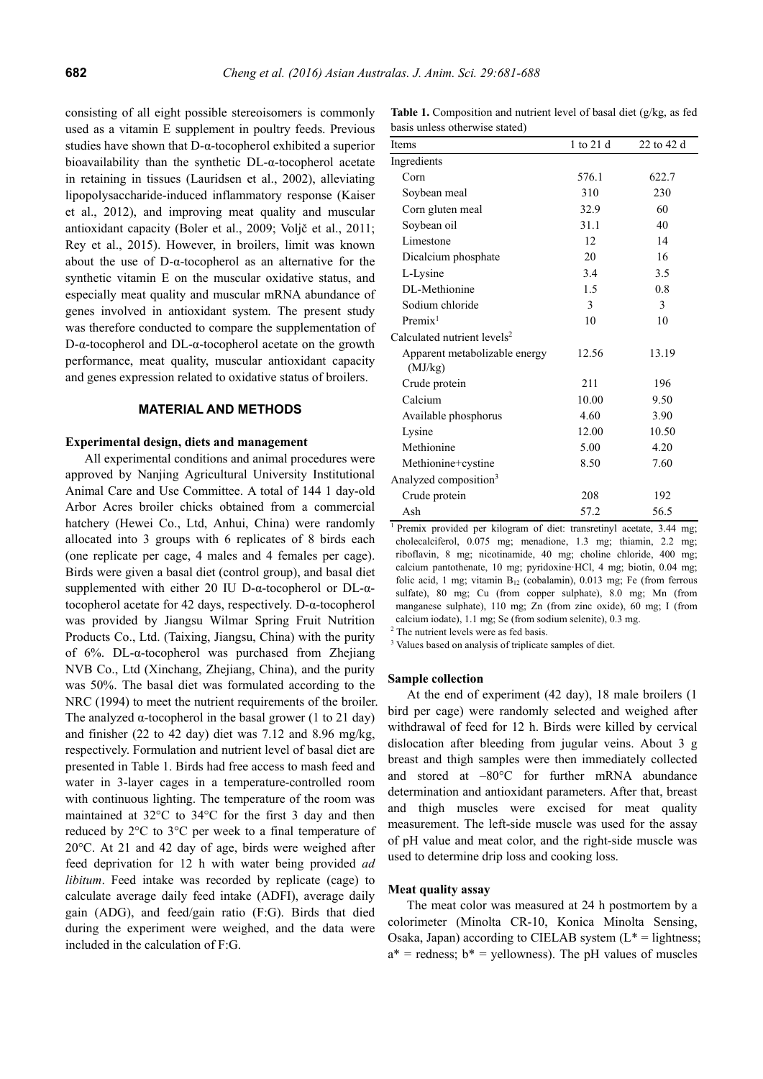consisting of all eight possible stereoisomers is commonly used as a vitamin E supplement in poultry feeds. Previous studies have shown that D-α-tocopherol exhibited a superior bioavailability than the synthetic DL-α-tocopherol acetate in retaining in tissues (Lauridsen et al., 2002), alleviating lipopolysaccharide-induced inflammatory response (Kaiser et al., 2012), and improving meat quality and muscular antioxidant capacity (Boler et al., 2009; Voljč et al., 2011; Rey et al., 2015). However, in broilers, limit was known about the use of D-α-tocopherol as an alternative for the synthetic vitamin E on the muscular oxidative status, and especially meat quality and muscular mRNA abundance of genes involved in antioxidant system. The present study was therefore conducted to compare the supplementation of D-α-tocopherol and DL-α-tocopherol acetate on the growth performance, meat quality, muscular antioxidant capacity and genes expression related to oxidative status of broilers.

### **MATERIAL AND METHODS**

### **Experimental design, diets and management**

All experimental conditions and animal procedures were approved by Nanjing Agricultural University Institutional Animal Care and Use Committee. A total of 144 1 day-old Arbor Acres broiler chicks obtained from a commercial hatchery (Hewei Co., Ltd, Anhui, China) were randomly allocated into 3 groups with 6 replicates of 8 birds each (one replicate per cage, 4 males and 4 females per cage). Birds were given a basal diet (control group), and basal diet supplemented with either 20 IU D-α-tocopherol or DL-αtocopherol acetate for 42 days, respectively. D-α-tocopherol was provided by Jiangsu Wilmar Spring Fruit Nutrition Products Co., Ltd. (Taixing, Jiangsu, China) with the purity of 6%. DL-α-tocopherol was purchased from Zhejiang NVB Co., Ltd (Xinchang, Zhejiang, China), and the purity was 50%. The basal diet was formulated according to the NRC (1994) to meet the nutrient requirements of the broiler. The analyzed  $\alpha$ -tocopherol in the basal grower (1 to 21 day) and finisher (22 to 42 day) diet was 7.12 and 8.96 mg/kg, respectively. Formulation and nutrient level of basal diet are presented in Table 1. Birds had free access to mash feed and water in 3-layer cages in a temperature-controlled room with continuous lighting. The temperature of the room was maintained at 32°C to 34°C for the first 3 day and then reduced by 2°C to 3°C per week to a final temperature of 20°C. At 21 and 42 day of age, birds were weighed after feed deprivation for 12 h with water being provided *ad libitum*. Feed intake was recorded by replicate (cage) to calculate average daily feed intake (ADFI), average daily gain (ADG), and feed/gain ratio (F:G). Birds that died during the experiment were weighed, and the data were included in the calculation of F:G.

**Table 1.** Composition and nutrient level of basal diet (g/kg, as fed basis unless otherwise stated)

| Items                                    | 1 to 21 d | 22 to 42 d |
|------------------------------------------|-----------|------------|
| Ingredients                              |           |            |
| Corn                                     | 576.1     | 622.7      |
| Soybean meal                             | 310       | 230        |
| Corn gluten meal                         | 32.9      | 60         |
| Soybean oil                              | 31.1      | 40         |
| Limestone                                | 12        | 14         |
| Dicalcium phosphate                      | 20        | 16         |
| L-Lysine                                 | 3.4       | 3.5        |
| DL-Methionine                            | 1.5       | 0.8        |
| Sodium chloride                          | 3         | 3          |
| Premix <sup>1</sup>                      | 10        | 10         |
| Calculated nutrient levels <sup>2</sup>  |           |            |
| Apparent metabolizable energy<br>(MJ/kg) | 12.56     | 13.19      |
| Crude protein                            | 211       | 196        |
| Calcium                                  | 10.00     | 9.50       |
| Available phosphorus                     | 4.60      | 3.90       |
| Lysine                                   | 12.00     | 10.50      |
| Methionine                               | 5.00      | 4.20       |
| Methionine+cystine                       | 8.50      | 7.60       |
| Analyzed composition <sup>3</sup>        |           |            |
| Crude protein                            | 208       | 192        |
| Ash                                      | 57.2      | 56.5       |

<sup>1</sup> Premix provided per kilogram of diet: transretinyl acetate, 3.44 mg; cholecalciferol, 0.075 mg; menadione, 1.3 mg; thiamin, 2.2 mg; riboflavin, 8 mg; nicotinamide, 40 mg; choline chloride, 400 mg; calcium pantothenate, 10 mg; pyridoxine·HCl, 4 mg; biotin, 0.04 mg; folic acid, 1 mg; vitamin  $B_{12}$  (cobalamin), 0.013 mg; Fe (from ferrous sulfate), 80 mg; Cu (from copper sulphate), 8.0 mg; Mn (from manganese sulphate), 110 mg; Zn (from zinc oxide), 60 mg; I (from calcium iodate), 1.1 mg; Se (from sodium selenite), 0.3 mg. 2

 $2$  The nutrient levels were as fed basis.

<sup>3</sup> Values based on analysis of triplicate samples of diet.

## **Sample collection**

At the end of experiment (42 day), 18 male broilers (1 bird per cage) were randomly selected and weighed after withdrawal of feed for 12 h. Birds were killed by cervical dislocation after bleeding from jugular veins. About 3 g breast and thigh samples were then immediately collected and stored at –80°C for further mRNA abundance determination and antioxidant parameters. After that, breast and thigh muscles were excised for meat quality measurement. The left-side muscle was used for the assay of pH value and meat color, and the right-side muscle was used to determine drip loss and cooking loss.

## **Meat quality assay**

The meat color was measured at 24 h postmortem by a colorimeter (Minolta CR-10, Konica Minolta Sensing, Osaka, Japan) according to CIELAB system  $(L^* =$  lightness;  $a^*$  = redness;  $b^*$  = yellowness). The pH values of muscles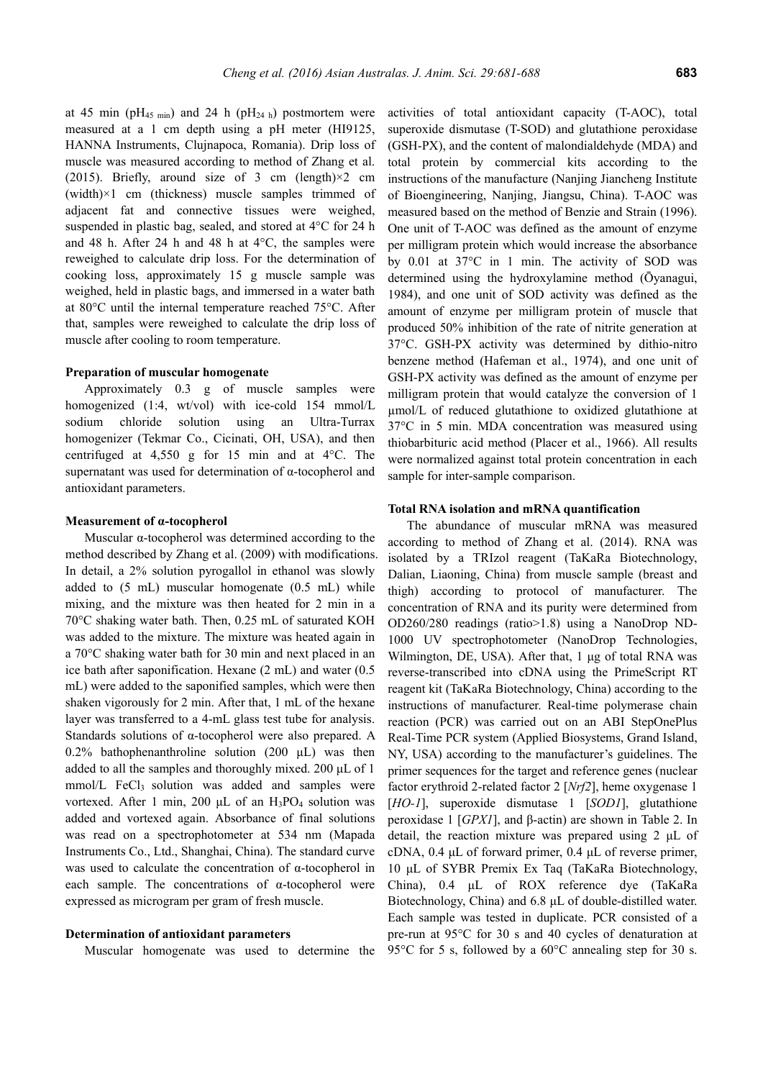at 45 min (pH<sub>45 min</sub>) and 24 h (pH<sub>24 h</sub>) postmortem were measured at a 1 cm depth using a pH meter (HI9125, HANNA Instruments, Clujnapoca, Romania). Drip loss of muscle was measured according to method of Zhang et al. (2015). Briefly, around size of 3 cm (length) $\times$ 2 cm  $(width) \times 1$  cm (thickness) muscle samples trimmed of adjacent fat and connective tissues were weighed, suspended in plastic bag, sealed, and stored at 4°C for 24 h and 48 h. After 24 h and 48 h at 4°C, the samples were reweighed to calculate drip loss. For the determination of cooking loss, approximately 15 g muscle sample was weighed, held in plastic bags, and immersed in a water bath at 80°C until the internal temperature reached 75°C. After that, samples were reweighed to calculate the drip loss of muscle after cooling to room temperature.

## **Preparation of muscular homogenate**

Approximately 0.3 g of muscle samples were homogenized (1:4, wt/vol) with ice-cold 154 mmol/L sodium chloride solution using an Ultra-Turrax homogenizer (Tekmar Co., Cicinati, OH, USA), and then centrifuged at 4,550 g for 15 min and at 4°C. The supernatant was used for determination of α-tocopherol and antioxidant parameters.

### **Measurement of α-tocopherol**

Muscular α-tocopherol was determined according to the method described by Zhang et al. (2009) with modifications. In detail, a 2% solution pyrogallol in ethanol was slowly added to (5 mL) muscular homogenate (0.5 mL) while mixing, and the mixture was then heated for 2 min in a 70°C shaking water bath. Then, 0.25 mL of saturated KOH was added to the mixture. The mixture was heated again in a 70°C shaking water bath for 30 min and next placed in an ice bath after saponification. Hexane (2 mL) and water (0.5 mL) were added to the saponified samples, which were then shaken vigorously for 2 min. After that, 1 mL of the hexane layer was transferred to a 4-mL glass test tube for analysis. Standards solutions of α-tocopherol were also prepared. A 0.2% bathophenanthroline solution (200  $\mu$ L) was then added to all the samples and thoroughly mixed. 200 μL of 1 mmol/L FeCl<sub>3</sub> solution was added and samples were vortexed. After 1 min, 200 μL of an  $H_3PO_4$  solution was added and vortexed again. Absorbance of final solutions was read on a spectrophotometer at 534 nm (Mapada Instruments Co., Ltd., Shanghai, China). The standard curve was used to calculate the concentration of α-tocopherol in each sample. The concentrations of  $\alpha$ -tocopherol were expressed as microgram per gram of fresh muscle.

#### **Determination of antioxidant parameters**

activities of total antioxidant capacity (T-AOC), total superoxide dismutase (T-SOD) and glutathione peroxidase (GSH-PX), and the content of malondialdehyde (MDA) and total protein by commercial kits according to the instructions of the manufacture (Nanjing Jiancheng Institute of Bioengineering, Nanjing, Jiangsu, China). T-AOC was measured based on the method of Benzie and Strain (1996). One unit of T-AOC was defined as the amount of enzyme per milligram protein which would increase the absorbance by 0.01 at 37°C in 1 min. The activity of SOD was determined using the hydroxylamine method (Ōyanagui, 1984), and one unit of SOD activity was defined as the amount of enzyme per milligram protein of muscle that produced 50% inhibition of the rate of nitrite generation at 37°C. GSH-PX activity was determined by dithio-nitro benzene method (Hafeman et al., 1974), and one unit of GSH-PX activity was defined as the amount of enzyme per milligram protein that would catalyze the conversion of 1 µmol/L of reduced glutathione to oxidized glutathione at 37°C in 5 min. MDA concentration was measured using thiobarbituric acid method (Placer et al., 1966). All results were normalized against total protein concentration in each sample for inter-sample comparison.

## **Total RNA isolation and mRNA quantification**

Muscular homogenate was used to determine the 95°C for 5 s, followed by a 60°C annealing step for 30 s. The abundance of muscular mRNA was measured according to method of Zhang et al. (2014). RNA was isolated by a TRIzol reagent (TaKaRa Biotechnology, Dalian, Liaoning, China) from muscle sample (breast and thigh) according to protocol of manufacturer. The concentration of RNA and its purity were determined from OD260/280 readings (ratio>1.8) using a NanoDrop ND-1000 UV spectrophotometer (NanoDrop Technologies, Wilmington, DE, USA). After that, 1 μg of total RNA was reverse-transcribed into cDNA using the PrimeScript RT reagent kit (TaKaRa Biotechnology, China) according to the instructions of manufacturer. Real-time polymerase chain reaction (PCR) was carried out on an ABI StepOnePlus Real-Time PCR system (Applied Biosystems, Grand Island, NY, USA) according to the manufacturer's guidelines. The primer sequences for the target and reference genes (nuclear factor erythroid 2-related factor 2 [*Nrf2*], heme oxygenase 1 [*HO-1*], superoxide dismutase 1 [*SOD1*], glutathione peroxidase 1 [*GPX1*], and β-actin) are shown in Table 2. In detail, the reaction mixture was prepared using 2 μL of cDNA, 0.4 μL of forward primer, 0.4 μL of reverse primer, 10 μL of SYBR Premix Ex Taq (TaKaRa Biotechnology, China), 0.4 μL of ROX reference dye (TaKaRa Biotechnology, China) and 6.8 μL of double-distilled water. Each sample was tested in duplicate. PCR consisted of a pre-run at 95°C for 30 s and 40 cycles of denaturation at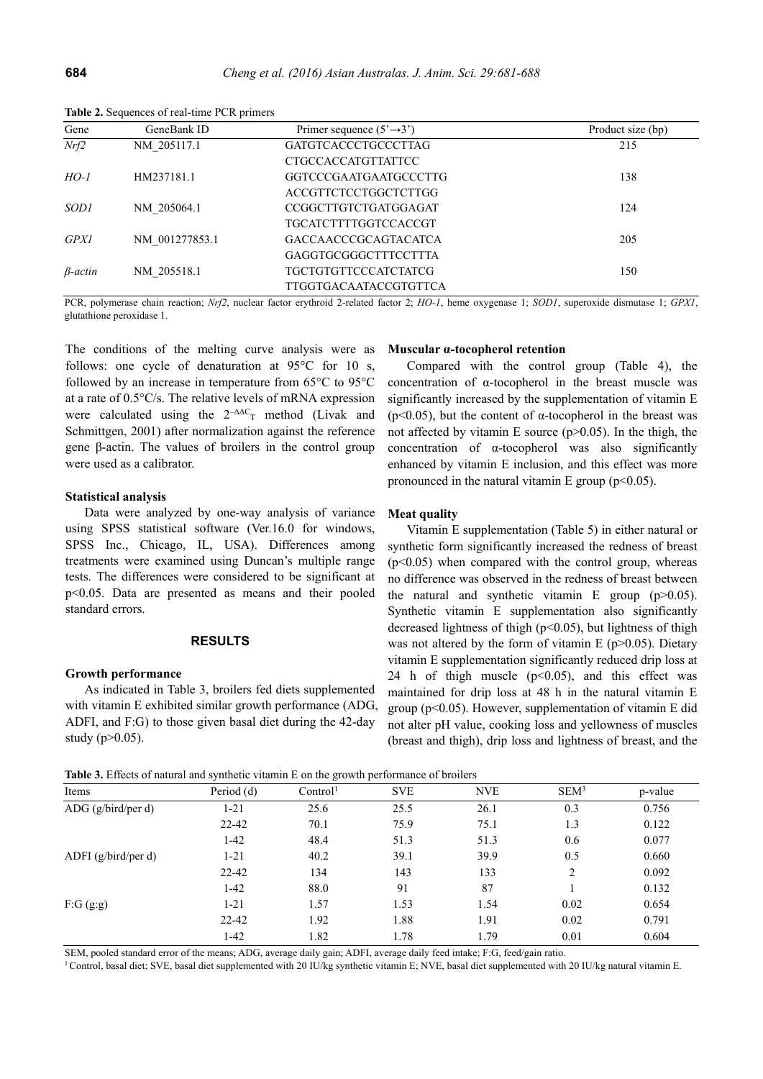| Gene        | GeneBank ID    | Primer sequence $(5' \rightarrow 3')$ | Product size (bp) |
|-------------|----------------|---------------------------------------|-------------------|
| Nrf2        | NM 205117.1    | <b>GATGTCACCCTGCCCTTAG</b>            | 215               |
|             |                | <b>CTGCCACCATGTTATTCC</b>             |                   |
| $HO-1$      | HM237181.1     | GGTCCCGAATGAATGCCCTTG                 | 138               |
|             |                | ACCGTTCTCCTGGCTCTTGG                  |                   |
| <i>SOD1</i> | NM 205064.1    | CCGGCTTGTCTGATGGAGAT                  | 124               |
|             |                | <b>TGCATCTTTTGGTCCACCGT</b>           |                   |
| <b>GPX1</b> | NM 001277853.1 | <b>GACCAACCCGCAGTACATCA</b>           | 205               |
|             |                | GAGGTGCGGGCTTTCCTTTA                  |                   |
| $β-actin$   | NM 205518.1    | <b>TGCTGTGTTCCCATCTATCG</b>           | 150               |
|             |                | <b>TTGGTGACAATACCGTGTTCA</b>          |                   |

**Table 2.** Sequences of real-time PCR primers

PCR, polymerase chain reaction; *Nrf2*, nuclear factor erythroid 2-related factor 2; *HO-1*, heme oxygenase 1; *SOD1*, superoxide dismutase 1; *GPX1*, glutathione peroxidase 1.

The conditions of the melting curve analysis were as follows: one cycle of denaturation at 95°C for 10 s, followed by an increase in temperature from 65°C to 95°C at a rate of 0.5°C/s. The relative levels of mRNA expression were calculated using the  $2^{-\Delta}C_T$  method (Livak and Schmittgen, 2001) after normalization against the reference gene β-actin. The values of broilers in the control group were used as a calibrator.

## **Statistical analysis**

Data were analyzed by one-way analysis of variance using SPSS statistical software (Ver.16.0 for windows, SPSS Inc., Chicago, IL, USA). Differences among treatments were examined using Duncan's multiple range tests. The differences were considered to be significant at p<0.05. Data are presented as means and their pooled standard errors.

## **RESULTS**

#### **Growth performance**

As indicated in Table 3, broilers fed diets supplemented with vitamin E exhibited similar growth performance (ADG, ADFI, and F:G) to those given basal diet during the 42-day study ( $p > 0.05$ ).

### **Muscular α-tocopherol retention**

Compared with the control group (Table 4), the concentration of α-tocopherol in the breast muscle was significantly increased by the supplementation of vitamin E ( $p$ <0.05), but the content of  $\alpha$ -tocopherol in the breast was not affected by vitamin E source  $(p>0.05)$ . In the thigh, the concentration of α-tocopherol was also significantly enhanced by vitamin E inclusion, and this effect was more pronounced in the natural vitamin E group ( $p \le 0.05$ ).

#### **Meat quality**

Vitamin E supplementation (Table 5) in either natural or synthetic form significantly increased the redness of breast  $(p<0.05)$  when compared with the control group, whereas no difference was observed in the redness of breast between the natural and synthetic vitamin E group  $(p>0.05)$ . Synthetic vitamin E supplementation also significantly decreased lightness of thigh  $(p<0.05)$ , but lightness of thigh was not altered by the form of vitamin E ( $p > 0.05$ ). Dietary vitamin E supplementation significantly reduced drip loss at 24 h of thigh muscle  $(p<0.05)$ , and this effect was maintained for drip loss at 48 h in the natural vitamin E group ( $p<0.05$ ). However, supplementation of vitamin E did not alter pH value, cooking loss and yellowness of muscles (breast and thigh), drip loss and lightness of breast, and the

**Table 3.** Effects of natural and synthetic vitamin E on the growth performance of broilers

| Items               | Period (d) | Control <sup>1</sup> | <b>SVE</b> | <b>NVE</b> | SEM <sup>3</sup> | p-value |
|---------------------|------------|----------------------|------------|------------|------------------|---------|
| ADG (g/bird/per d)  | 1-21       | 25.6                 | 25.5       | 26.1       | 0.3              | 0.756   |
|                     | $22 - 42$  | 70.1                 | 75.9       | 75.1       | 1.3              | 0.122   |
|                     | $1 - 42$   | 48.4                 | 51.3       | 51.3       | 0.6              | 0.077   |
| ADFI (g/bird/per d) | $1 - 21$   | 40.2                 | 39.1       | 39.9       | 0.5              | 0.660   |
|                     | $22 - 42$  | 134                  | 143        | 133        | 2                | 0.092   |
|                     | $1 - 42$   | 88.0                 | 91         | 87         |                  | 0.132   |
| F:G(g:g)            | $1 - 21$   | 1.57                 | 1.53       | 1.54       | 0.02             | 0.654   |
|                     | $22 - 42$  | 1.92                 | 1.88       | 1.91       | 0.02             | 0.791   |
|                     | 1-42       | 1.82                 | 1.78       | 1.79       | 0.01             | 0.604   |

SEM, pooled standard error of the means; ADG, average daily gain; ADFI, average daily feed intake; F:G, feed/gain ratio.<br><sup>1</sup> Control, basal diet; SVE, basal diet supplemented with 20 IU/kg synthetic vitamin E; NVE, basal d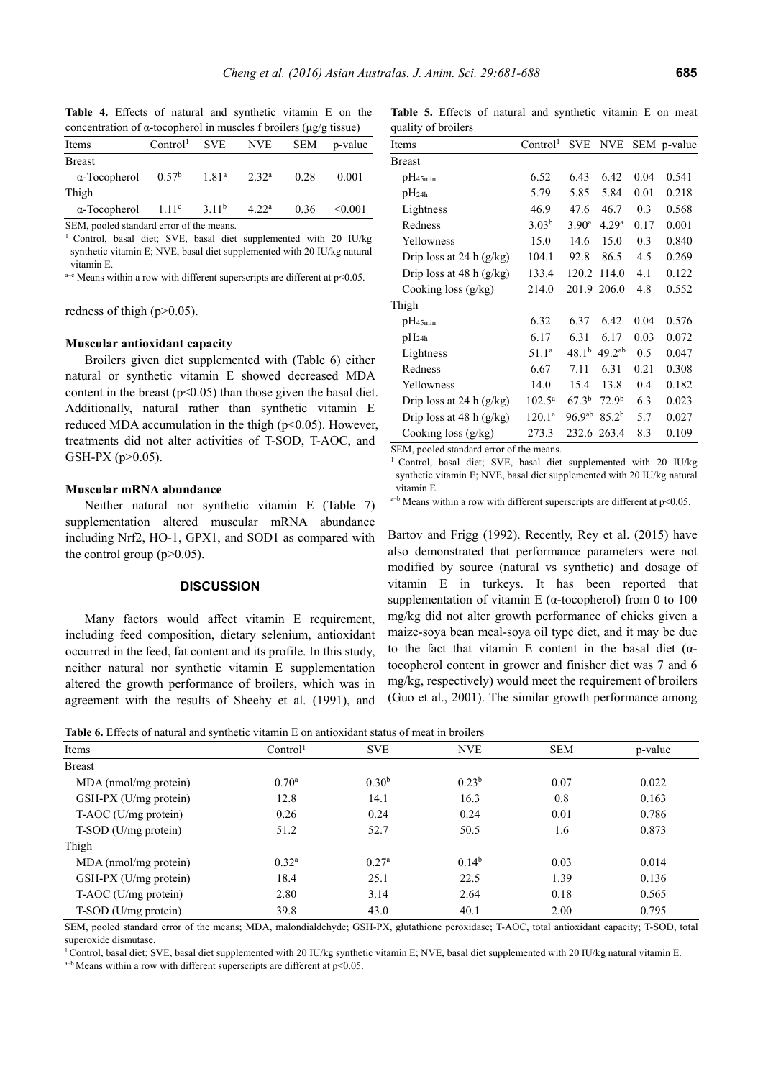| concentration of $\alpha$ -tocopherol in muscles f broilers ( $\mu$ g/g tissue) |                                  |                          |                |      |         |  |  |
|---------------------------------------------------------------------------------|----------------------------------|--------------------------|----------------|------|---------|--|--|
| Items                                                                           | Control <sup>1</sup>             | <b>SVE</b><br><b>NVE</b> |                | SEM  | p-value |  |  |
| <b>Breast</b>                                                                   |                                  |                          |                |      |         |  |  |
| $\alpha$ -Tocopherol                                                            | $0.57^{\rm b}$ 1.81 <sup>a</sup> |                          | $2.32^{\rm a}$ | 0.28 | 0.001   |  |  |
| Thigh                                                                           |                                  |                          |                |      |         |  |  |
| $\alpha$ -Tocopherol                                                            | $1.11^c$                         | 3.11 <sup>b</sup>        | $4.22^{\rm a}$ | 0.36 | < 0.001 |  |  |

**Table 4.** Effects of natural and synthetic vitamin E on the

SEM, pooled standard error of the means.

<sup>1</sup> Control, basal diet; SVE, basal diet supplemented with 20 IU/kg synthetic vitamin E; NVE, basal diet supplemented with 20 IU/kg natural vitamin E.

 $a-e$  Means within a row with different superscripts are different at  $p<0.05$ .

redness of thigh  $(p>0.05)$ .

#### **Muscular antioxidant capacity**

Broilers given diet supplemented with (Table 6) either natural or synthetic vitamin E showed decreased MDA content in the breast  $(p<0.05)$  than those given the basal diet. Additionally, natural rather than synthetic vitamin E reduced MDA accumulation in the thigh ( $p<0.05$ ). However, treatments did not alter activities of T-SOD, T-AOC, and GSH-PX (p>0.05).

## **Muscular mRNA abundance**

Neither natural nor synthetic vitamin E (Table 7) supplementation altered muscular mRNA abundance including Nrf2, HO-1, GPX1, and SOD1 as compared with the control group  $(p>0.05)$ .

## **DISCUSSION**

Many factors would affect vitamin E requirement, including feed composition, dietary selenium, antioxidant occurred in the feed, fat content and its profile. In this study, neither natural nor synthetic vitamin E supplementation altered the growth performance of broilers, which was in agreement with the results of Sheehy et al. (1991), and

**Table 5.** Effects of natural and synthetic vitamin E on meat quality of broilers

| Items                      | Control <sup>1</sup> | <b>SVE</b>         | <b>NVE</b>         |      | SEM p-value |
|----------------------------|----------------------|--------------------|--------------------|------|-------------|
| Breast                     |                      |                    |                    |      |             |
| $pH_{45min}$               | 6.52                 | 6.43               | 6.42               | 0.04 | 0.541       |
| $pH_{24h}$                 | 5.79                 | 5.85               | 5.84               | 0.01 | 0.218       |
| Lightness                  | 46.9                 | 47.6               | 46.7               | 0.3  | 0.568       |
| Redness                    | 3.03 <sup>b</sup>    | 3.90 <sup>a</sup>  | 4.29 <sup>a</sup>  | 0.17 | 0.001       |
| Yellowness                 | 15.0                 | 14.6               | 15.0               | 0.3  | 0.840       |
| Drip loss at 24 h $(g/kg)$ | 104.1                | 92.8               | 86.5               | 4.5  | 0.269       |
| Drip loss at 48 h $(g/kg)$ | 133.4                | 120.2              | 114.0              | 4.1  | 0.122       |
| Cooking loss $(g/kg)$      | 214.0                | 201.9              | 206.0              | 4.8  | 0.552       |
| Thigh                      |                      |                    |                    |      |             |
| pH <sub>45min</sub>        | 6.32                 | 6.37               | 6.42               | 0.04 | 0.576       |
| $pH_{24h}$                 | 6.17                 | 6.31               | 6.17               | 0.03 | 0.072       |
| Lightness                  | 51.1 <sup>a</sup>    | 48.1 <sup>b</sup>  | 49.2 <sup>ab</sup> | 0.5  | 0.047       |
| Redness                    | 6.67                 | 7.11               | 6.31               | 0.21 | 0.308       |
| Yellowness                 | 14.0                 | 15.4               | 13.8               | 0.4  | 0.182       |
| Drip loss at 24 h $(g/kg)$ | $102.5^{\rm a}$      | 67.3 <sup>b</sup>  | 72.9 <sup>b</sup>  | 6.3  | 0.023       |
| Drip loss at 48 h $(g/kg)$ | $120.1^a$            | 96.9 <sup>ab</sup> | 85.2 <sup>b</sup>  | 5.7  | 0.027       |
| Cooking loss $(g/kg)$      | 273.3                | 232.6              | 263.4              | 8.3  | 0.109       |

SEM, pooled standard error of the means.

1 Control, basal diet; SVE, basal diet supplemented with 20 IU/kg synthetic vitamin E; NVE, basal diet supplemented with 20 IU/kg natural vitamin E.

 $a-b$  Means within a row with different superscripts are different at p<0.05.

Bartov and Frigg (1992). Recently, Rey et al. (2015) have also demonstrated that performance parameters were not modified by source (natural vs synthetic) and dosage of vitamin E in turkeys. It has been reported that supplementation of vitamin E ( $\alpha$ -tocopherol) from 0 to 100 mg/kg did not alter growth performance of chicks given a maize-soya bean meal-soya oil type diet, and it may be due to the fact that vitamin E content in the basal diet  $(\alpha$ tocopherol content in grower and finisher diet was 7 and 6 mg/kg, respectively) would meet the requirement of broilers (Guo et al., 2001). The similar growth performance among

**Table 6.** Effects of natural and synthetic vitamin E on antioxidant status of meat in broilers

| THEN OF EXPOSURE THE CHARGE OF THE CHARGE THE CHARGE CHARGE OF THE CHARGE OF THE CHARGE |                   |                   |            |         |  |  |
|-----------------------------------------------------------------------------------------|-------------------|-------------------|------------|---------|--|--|
| Control <sup>1</sup>                                                                    | <b>SVE</b>        | <b>NVE</b>        | <b>SEM</b> | p-value |  |  |
|                                                                                         |                   |                   |            |         |  |  |
| 0.70 <sup>a</sup>                                                                       | 0.30 <sup>b</sup> | $0.23^{b}$        | 0.07       | 0.022   |  |  |
| 12.8                                                                                    | 14.1              | 16.3              | 0.8        | 0.163   |  |  |
| 0.26                                                                                    | 0.24              | 0.24              | 0.01       | 0.786   |  |  |
| 51.2                                                                                    | 52.7              | 50.5              | 1.6        | 0.873   |  |  |
|                                                                                         |                   |                   |            |         |  |  |
| 0.32 <sup>a</sup>                                                                       | 0.27 <sup>a</sup> | 0.14 <sup>b</sup> | 0.03       | 0.014   |  |  |
| 18.4                                                                                    | 25.1              | 22.5              | 1.39       | 0.136   |  |  |
| 2.80                                                                                    | 3.14              | 2.64              | 0.18       | 0.565   |  |  |
| 39.8                                                                                    | 43.0              | 40.1              | 2.00       | 0.795   |  |  |
|                                                                                         |                   |                   |            |         |  |  |

SEM, pooled standard error of the means; MDA, malondialdehyde; GSH-PX, glutathione peroxidase; T-AOC, total antioxidant capacity; T-SOD, total superoxide dismutase.

<sup>1</sup> Control, basal diet; SVE, basal diet supplemented with 20 IU/kg synthetic vitamin E; NVE, basal diet supplemented with 20 IU/kg natural vitamin E. a<sup>+b</sup> Means within a row with different superscripts are different at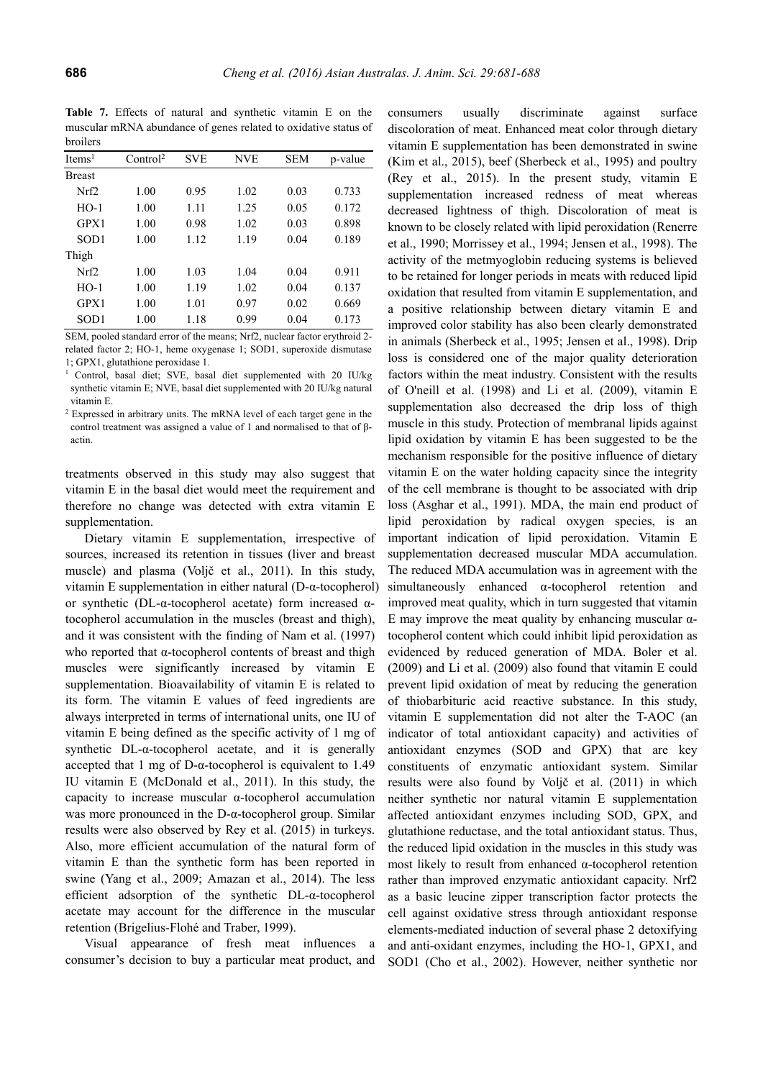**Table 7.** Effects of natural and synthetic vitamin E on the muscular mRNA abundance of genes related to oxidative status of broilers

| Items <sup>1</sup> | Control <sup>2</sup> | <b>SVE</b> | <b>NVE</b> | <b>SEM</b> | p-value |
|--------------------|----------------------|------------|------------|------------|---------|
| <b>Breast</b>      |                      |            |            |            |         |
| Nrf2               | 1.00                 | 0.95       | 1.02       | 0.03       | 0.733   |
| $HO-1$             | 1.00                 | 1.11       | 1.25       | 0.05       | 0.172   |
| GPX1               | 1.00                 | 0.98       | 1.02       | 0.03       | 0.898   |
| SOD <sub>1</sub>   | 1.00                 | 1.12       | 1.19       | 0.04       | 0.189   |
| Thigh              |                      |            |            |            |         |
| Nrf2               | 1.00                 | 1.03       | 1.04       | 0.04       | 0.911   |
| $HO-1$             | 1.00                 | 1.19       | 1.02       | 0.04       | 0.137   |
| GPX1               | 1.00                 | 1.01       | 0.97       | 0.02       | 0.669   |
| SOD <sub>1</sub>   | 1.00                 | 1.18       | 0.99       | 0.04       | 0.173   |

SEM, pooled standard error of the means; Nrf2, nuclear factor erythroid 2 related factor 2; HO-1, heme oxygenase 1; SOD1, superoxide dismutase 1; GPX1, glutathione peroxidase 1.

1 Control, basal diet; SVE, basal diet supplemented with 20 IU/kg synthetic vitamin E; NVE, basal diet supplemented with 20 IU/kg natural vitamin E.

<sup>2</sup> Expressed in arbitrary units. The mRNA level of each target gene in the control treatment was assigned a value of 1 and normalised to that of βactin.

treatments observed in this study may also suggest that vitamin E in the basal diet would meet the requirement and therefore no change was detected with extra vitamin E supplementation.

Dietary vitamin E supplementation, irrespective of sources, increased its retention in tissues (liver and breast muscle) and plasma (Voljč et al., 2011). In this study, vitamin E supplementation in either natural (D-α-tocopherol) or synthetic (DL-α-tocopherol acetate) form increased αtocopherol accumulation in the muscles (breast and thigh), and it was consistent with the finding of Nam et al. (1997) who reported that α-tocopherol contents of breast and thigh muscles were significantly increased by vitamin E supplementation. Bioavailability of vitamin E is related to its form. The vitamin E values of feed ingredients are always interpreted in terms of international units, one IU of vitamin E being defined as the specific activity of 1 mg of synthetic DL-α-tocopherol acetate, and it is generally accepted that 1 mg of D-α-tocopherol is equivalent to 1.49 IU vitamin E (McDonald et al., 2011). In this study, the capacity to increase muscular α-tocopherol accumulation was more pronounced in the D-α-tocopherol group. Similar results were also observed by Rey et al. (2015) in turkeys. Also, more efficient accumulation of the natural form of vitamin E than the synthetic form has been reported in swine (Yang et al., 2009; Amazan et al., 2014). The less efficient adsorption of the synthetic DL-α-tocopherol acetate may account for the difference in the muscular retention (Brigelius-Flohé and Traber, 1999).

Visual appearance of fresh meat influences a consumer's decision to buy a particular meat product, and consumers usually discriminate against surface discoloration of meat. Enhanced meat color through dietary vitamin E supplementation has been demonstrated in swine (Kim et al., 2015), beef (Sherbeck et al., 1995) and poultry (Rey et al., 2015). In the present study, vitamin E supplementation increased redness of meat whereas decreased lightness of thigh. Discoloration of meat is known to be closely related with lipid peroxidation (Renerre et al., 1990; Morrissey et al., 1994; Jensen et al., 1998). The activity of the metmyoglobin reducing systems is believed to be retained for longer periods in meats with reduced lipid oxidation that resulted from vitamin E supplementation, and a positive relationship between dietary vitamin E and improved color stability has also been clearly demonstrated in animals (Sherbeck et al., 1995; Jensen et al., 1998). Drip loss is considered one of the major quality deterioration factors within the meat industry. Consistent with the results of O'neill et al. (1998) and Li et al. (2009), vitamin E supplementation also decreased the drip loss of thigh muscle in this study. Protection of membranal lipids against lipid oxidation by vitamin E has been suggested to be the mechanism responsible for the positive influence of dietary vitamin E on the water holding capacity since the integrity of the cell membrane is thought to be associated with drip loss (Asghar et al., 1991). MDA, the main end product of lipid peroxidation by radical oxygen species, is an important indication of lipid peroxidation. Vitamin E supplementation decreased muscular MDA accumulation. The reduced MDA accumulation was in agreement with the simultaneously enhanced α-tocopherol retention and improved meat quality, which in turn suggested that vitamin E may improve the meat quality by enhancing muscular  $α$ tocopherol content which could inhibit lipid peroxidation as evidenced by reduced generation of MDA. Boler et al. (2009) and Li et al. (2009) also found that vitamin E could prevent lipid oxidation of meat by reducing the generation of thiobarbituric acid reactive substance. In this study, vitamin E supplementation did not alter the T-AOC (an indicator of total antioxidant capacity) and activities of antioxidant enzymes (SOD and GPX) that are key constituents of enzymatic antioxidant system. Similar results were also found by Voljč et al. (2011) in which neither synthetic nor natural vitamin E supplementation affected antioxidant enzymes including SOD, GPX, and glutathione reductase, and the total antioxidant status. Thus, the reduced lipid oxidation in the muscles in this study was most likely to result from enhanced α-tocopherol retention rather than improved enzymatic antioxidant capacity. Nrf2 as a basic leucine zipper transcription factor protects the cell against oxidative stress through antioxidant response elements-mediated induction of several phase 2 detoxifying and anti-oxidant enzymes, including the HO-1, GPX1, and SOD1 (Cho et al., 2002). However, neither synthetic nor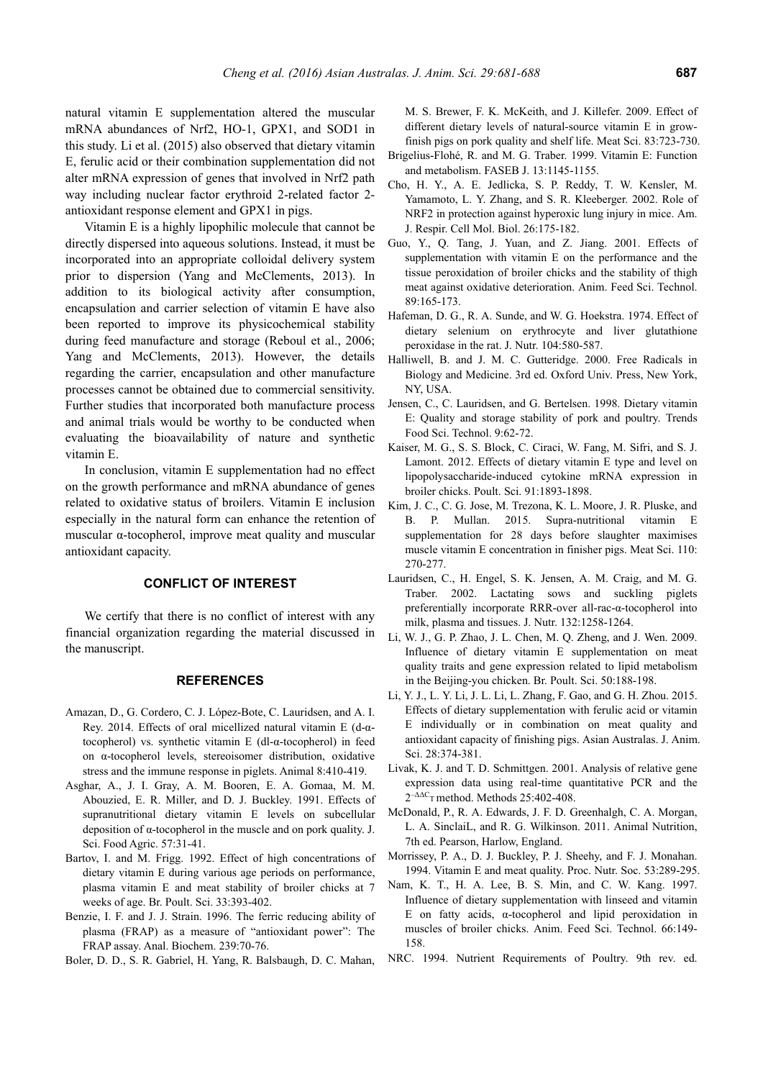natural vitamin E supplementation altered the muscular mRNA abundances of Nrf2, HO-1, GPX1, and SOD1 in this study. Li et al. (2015) also observed that dietary vitamin E, ferulic acid or their combination supplementation did not alter mRNA expression of genes that involved in Nrf2 path way including nuclear factor erythroid 2-related factor 2 antioxidant response element and GPX1 in pigs.

Vitamin E is a highly lipophilic molecule that cannot be directly dispersed into aqueous solutions. Instead, it must be incorporated into an appropriate colloidal delivery system prior to dispersion (Yang and McClements, 2013). In addition to its biological activity after consumption, encapsulation and carrier selection of vitamin E have also been reported to improve its physicochemical stability during feed manufacture and storage (Reboul et al., 2006; Yang and McClements, 2013). However, the details regarding the carrier, encapsulation and other manufacture processes cannot be obtained due to commercial sensitivity. Further studies that incorporated both manufacture process and animal trials would be worthy to be conducted when evaluating the bioavailability of nature and synthetic vitamin E.

In conclusion, vitamin E supplementation had no effect on the growth performance and mRNA abundance of genes related to oxidative status of broilers. Vitamin E inclusion especially in the natural form can enhance the retention of muscular  $\alpha$ -tocopherol, improve meat quality and muscular antioxidant capacity.

## **CONFLICT OF INTEREST**

We certify that there is no conflict of interest with any financial organization regarding the material discussed in the manuscript.

## **REFERENCES**

- Amazan, D., G. Cordero, C. J. López-Bote, C. Lauridsen, and A. I. Rey. 2014. Effects of oral micellized natural vitamin E (d-αtocopherol) vs. synthetic vitamin E (dl-α-tocopherol) in feed on α-tocopherol levels, stereoisomer distribution, oxidative stress and the immune response in piglets. Animal 8:410-419.
- Asghar, A., J. I. Gray, A. M. Booren, E. A. Gomaa, M. M. Abouzied, E. R. Miller, and D. J. Buckley. 1991. Effects of supranutritional dietary vitamin E levels on subcellular deposition of α-tocopherol in the muscle and on pork quality. J. Sci. Food Agric. 57:31-41.
- Bartov, I. and M. Frigg. 1992. Effect of high concentrations of dietary vitamin E during various age periods on performance, plasma vitamin E and meat stability of broiler chicks at 7 weeks of age. Br. Poult. Sci. 33:393-402.
- Benzie, I. F. and J. J. Strain. 1996. The ferric reducing ability of plasma (FRAP) as a measure of "antioxidant power": The FRAP assay. Anal. Biochem. 239:70-76.
- Boler, D. D., S. R. Gabriel, H. Yang, R. Balsbaugh, D. C. Mahan,

M. S. Brewer, F. K. McKeith, and J. Killefer. 2009. Effect of different dietary levels of natural-source vitamin E in growfinish pigs on pork quality and shelf life. Meat Sci. 83:723-730.

- Brigelius-Flohé, R. and M. G. Traber. 1999. Vitamin E: Function and metabolism. FASEB J. 13:1145-1155.
- Cho, H. Y., A. E. Jedlicka, S. P. Reddy, T. W. Kensler, M. Yamamoto, L. Y. Zhang, and S. R. Kleeberger. 2002. Role of NRF2 in protection against hyperoxic lung injury in mice. Am. J. Respir. Cell Mol. Biol. 26:175-182.
- Guo, Y., Q. Tang, J. Yuan, and Z. Jiang. 2001. Effects of supplementation with vitamin E on the performance and the tissue peroxidation of broiler chicks and the stability of thigh meat against oxidative deterioration. Anim. Feed Sci. Technol. 89:165-173.
- Hafeman, D. G., R. A. Sunde, and W. G. Hoekstra. 1974. Effect of dietary selenium on erythrocyte and liver glutathione peroxidase in the rat. J. Nutr. 104:580-587.
- Halliwell, B. and J. M. C. Gutteridge. 2000. Free Radicals in Biology and Medicine. 3rd ed. Oxford Univ. Press, New York, NY, USA.
- Jensen, C., C. Lauridsen, and G. Bertelsen. 1998. Dietary vitamin E: Quality and storage stability of pork and poultry. Trends Food Sci. Technol. 9:62-72.
- Kaiser, M. G., S. S. Block, C. Ciraci, W. Fang, M. Sifri, and S. J. Lamont. 2012. Effects of dietary vitamin E type and level on lipopolysaccharide-induced cytokine mRNA expression in broiler chicks. Poult. Sci. 91:1893-1898.
- Kim, J. C., C. G. Jose, M. Trezona, K. L. Moore, J. R. Pluske, and B. P. Mullan. 2015. Supra-nutritional vitamin E supplementation for 28 days before slaughter maximises muscle vitamin E concentration in finisher pigs. Meat Sci. 110: 270-277.
- Lauridsen, C., H. Engel, S. K. Jensen, A. M. Craig, and M. G. Traber. 2002. Lactating sows and suckling piglets preferentially incorporate RRR-over all-rac-α-tocopherol into milk, plasma and tissues. J. Nutr. 132:1258-1264.
- Li, W. J., G. P. Zhao, J. L. Chen, M. Q. Zheng, and J. Wen. 2009. Influence of dietary vitamin E supplementation on meat quality traits and gene expression related to lipid metabolism in the Beijing-you chicken. Br. Poult. Sci. 50:188-198.
- Li, Y. J., L. Y. Li, J. L. Li, L. Zhang, F. Gao, and G. H. Zhou. 2015. Effects of dietary supplementation with ferulic acid or vitamin E individually or in combination on meat quality and antioxidant capacity of finishing pigs. Asian Australas. J. Anim. Sci. 28:374-381.
- Livak, K. J. and T. D. Schmittgen. 2001. Analysis of relative gene expression data using real-time quantitative PCR and the  $2^{-\Delta\Delta C}$ <sub>T</sub> method. Methods 25:402-408.
- McDonald, P., R. A. Edwards, J. F. D. Greenhalgh, C. A. Morgan, L. A. SinclaiL, and R. G. Wilkinson. 2011. Animal Nutrition, 7th ed. Pearson, Harlow, England.
- Morrissey, P. A., D. J. Buckley, P. J. Sheehy, and F. J. Monahan. 1994. Vitamin E and meat quality. Proc. Nutr. Soc. 53:289-295.
- Nam, K. T., H. A. Lee, B. S. Min, and C. W. Kang. 1997. Influence of dietary supplementation with linseed and vitamin E on fatty acids, α-tocopherol and lipid peroxidation in muscles of broiler chicks. Anim. Feed Sci. Technol. 66:149- 158.
- NRC. 1994. Nutrient Requirements of Poultry. 9th rev. ed.